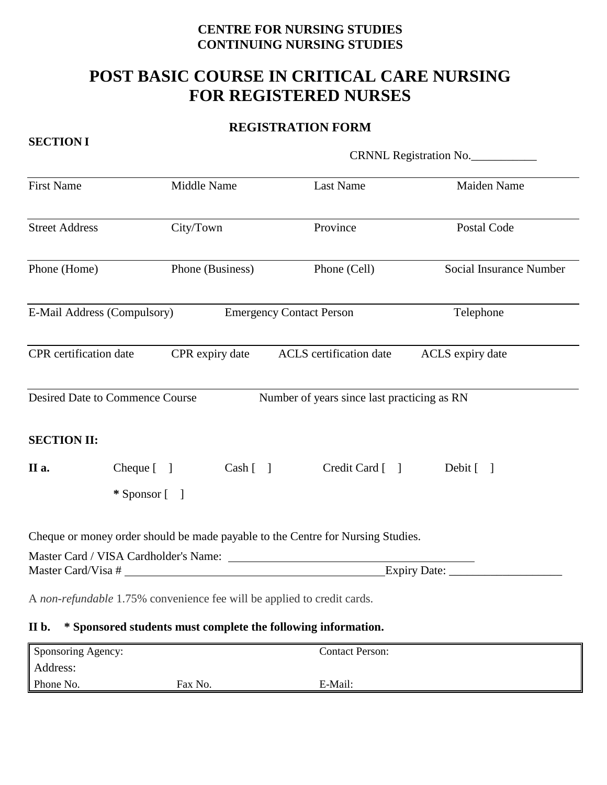## **CENTRE FOR NURSING STUDIES CONTINUING NURSING STUDIES**

# **POST BASIC COURSE IN CRITICAL CARE NURSING FOR REGISTERED NURSES**

## **REGISTRATION FORM**

**SECTION I** 

|                        |                                        |                  | CRNNL Registration No.                                                          |                                |  |
|------------------------|----------------------------------------|------------------|---------------------------------------------------------------------------------|--------------------------------|--|
| <b>First Name</b>      |                                        | Middle Name      | Last Name                                                                       | Maiden Name                    |  |
| <b>Street Address</b>  |                                        | City/Town        | Province                                                                        | Postal Code                    |  |
| Phone (Home)           |                                        | Phone (Business) | Phone (Cell)                                                                    | <b>Social Insurance Number</b> |  |
|                        | E-Mail Address (Compulsory)            |                  | <b>Emergency Contact Person</b>                                                 | Telephone                      |  |
| CPR certification date |                                        |                  | CPR expiry date ACLS certification date                                         | ACLS expiry date               |  |
|                        | <b>Desired Date to Commence Course</b> |                  | Number of years since last practicing as RN                                     |                                |  |
| <b>SECTION II:</b>     |                                        |                  |                                                                                 |                                |  |
| II a.                  | $Cheque [$ ]                           |                  | Cash [ ]<br>Credit Card [                                                       | Debit [ ]                      |  |
|                        | $*$ Sponsor $\lceil \quad \rceil$      |                  |                                                                                 |                                |  |
|                        |                                        |                  | Cheque or money order should be made payable to the Centre for Nursing Studies. |                                |  |
|                        |                                        |                  | Master Card / VISA Cardholder's Name:<br>Master Card/Visa #                     | Expiry Date:                   |  |
|                        |                                        |                  | A non-refundable 1.75% convenience fee will be applied to credit cards.         |                                |  |
| II b.                  |                                        |                  | * Sponsored students must complete the following information.                   |                                |  |
| $\sim$                 |                                        |                  |                                                                                 |                                |  |

| Sponsoring Agency: |         | <b>Contact Person:</b> |  |
|--------------------|---------|------------------------|--|
| Address:           |         |                        |  |
| Phone No.          | Fax No. | E-Mail:                |  |